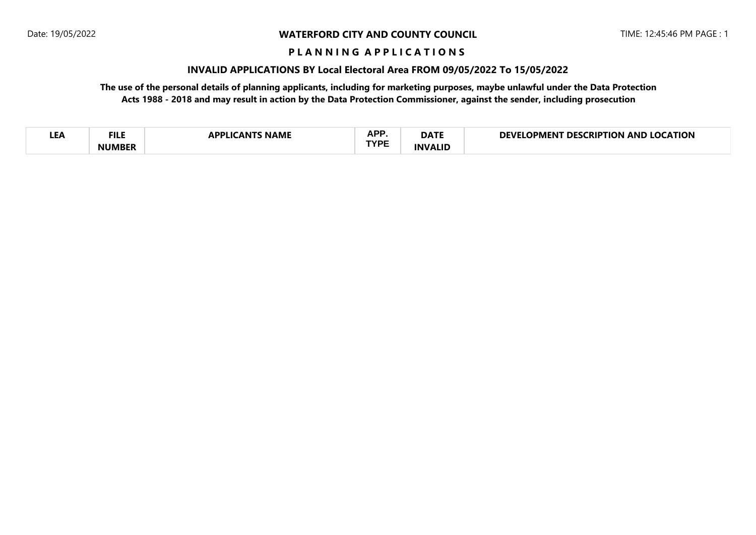#### **WATERFORD CITY AND COUNTY COUNCIL**

#### **P L A N N I N G A P P L I C A T I O N S**

## **INVALID APPLICATIONS BY Local Electoral Area FROM 09/05/2022 To 15/05/2022**

**The use of the personal details of planning applicants, including for marketing purposes, maybe unlawful under the Data Protection Acts 1988 - 2018 and may result in action by the Data Protection Commissioner, against the sender, including prosecution**

| - 1<br>LEA | FILE<br><b>NUMREP</b> | <b>NAML</b><br>w | <b>APP</b><br>n.,<br>TVDE | $\sim$ a mode<br>JAIF | <b>EATION</b><br>τιοΝ<br>:RIP<br>ANL<br>אינו<br>PMFN |
|------------|-----------------------|------------------|---------------------------|-----------------------|------------------------------------------------------|
|------------|-----------------------|------------------|---------------------------|-----------------------|------------------------------------------------------|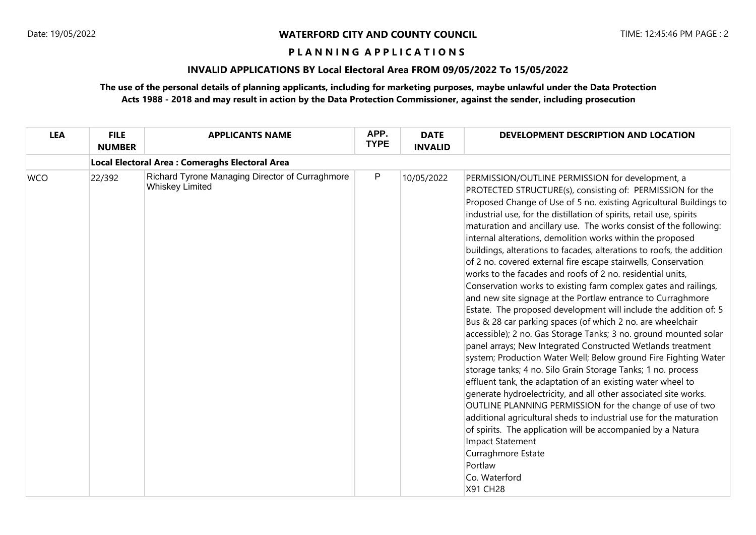#### **WATERFORD CITY AND COUNTY COUNCIL**

#### **P L A N N I N G A P P L I C A T I O N S**

## **INVALID APPLICATIONS BY Local Electoral Area FROM 09/05/2022 To 15/05/2022**

# **The use of the personal details of planning applicants, including for marketing purposes, maybe unlawful under the Data Protection Acts 1988 - 2018 and may result in action by the Data Protection Commissioner, against the sender, including prosecution**

| <b>LEA</b> | <b>FILE</b><br><b>NUMBER</b>                   | <b>APPLICANTS NAME</b>                                                    | APP.<br><b>TYPE</b> | <b>DATE</b><br><b>INVALID</b> | DEVELOPMENT DESCRIPTION AND LOCATION                                                                                                                                                                                                                                                                                                                                                                                                                                                                                                                                                                                                                                                                                                                                                                                                                                                                                                                                                                                                                                                                                                                                                                                                                                                                                                                                                                                                                                                                                                                                          |  |  |  |  |  |
|------------|------------------------------------------------|---------------------------------------------------------------------------|---------------------|-------------------------------|-------------------------------------------------------------------------------------------------------------------------------------------------------------------------------------------------------------------------------------------------------------------------------------------------------------------------------------------------------------------------------------------------------------------------------------------------------------------------------------------------------------------------------------------------------------------------------------------------------------------------------------------------------------------------------------------------------------------------------------------------------------------------------------------------------------------------------------------------------------------------------------------------------------------------------------------------------------------------------------------------------------------------------------------------------------------------------------------------------------------------------------------------------------------------------------------------------------------------------------------------------------------------------------------------------------------------------------------------------------------------------------------------------------------------------------------------------------------------------------------------------------------------------------------------------------------------------|--|--|--|--|--|
|            | Local Electoral Area: Comeraghs Electoral Area |                                                                           |                     |                               |                                                                                                                                                                                                                                                                                                                                                                                                                                                                                                                                                                                                                                                                                                                                                                                                                                                                                                                                                                                                                                                                                                                                                                                                                                                                                                                                                                                                                                                                                                                                                                               |  |  |  |  |  |
| <b>WCO</b> | 22/392                                         | Richard Tyrone Managing Director of Curraghmore<br><b>Whiskey Limited</b> | P                   | 10/05/2022                    | PERMISSION/OUTLINE PERMISSION for development, a<br>PROTECTED STRUCTURE(s), consisting of: PERMISSION for the<br>Proposed Change of Use of 5 no. existing Agricultural Buildings to<br>industrial use, for the distillation of spirits, retail use, spirits<br>maturation and ancillary use. The works consist of the following:<br>internal alterations, demolition works within the proposed<br>buildings, alterations to facades, alterations to roofs, the addition<br>of 2 no. covered external fire escape stairwells, Conservation<br>works to the facades and roofs of 2 no. residential units,<br>Conservation works to existing farm complex gates and railings,<br>and new site signage at the Portlaw entrance to Curraghmore<br>Estate. The proposed development will include the addition of: 5<br>Bus & 28 car parking spaces (of which 2 no. are wheelchair<br>accessible); 2 no. Gas Storage Tanks; 3 no. ground mounted solar<br>panel arrays; New Integrated Constructed Wetlands treatment<br>system; Production Water Well; Below ground Fire Fighting Water<br>storage tanks; 4 no. Silo Grain Storage Tanks; 1 no. process<br>effluent tank, the adaptation of an existing water wheel to<br>generate hydroelectricity, and all other associated site works.<br>OUTLINE PLANNING PERMISSION for the change of use of two<br>additional agricultural sheds to industrial use for the maturation<br>of spirits. The application will be accompanied by a Natura<br><b>Impact Statement</b><br>Curraghmore Estate<br>Portlaw<br>Co. Waterford<br>X91 CH28 |  |  |  |  |  |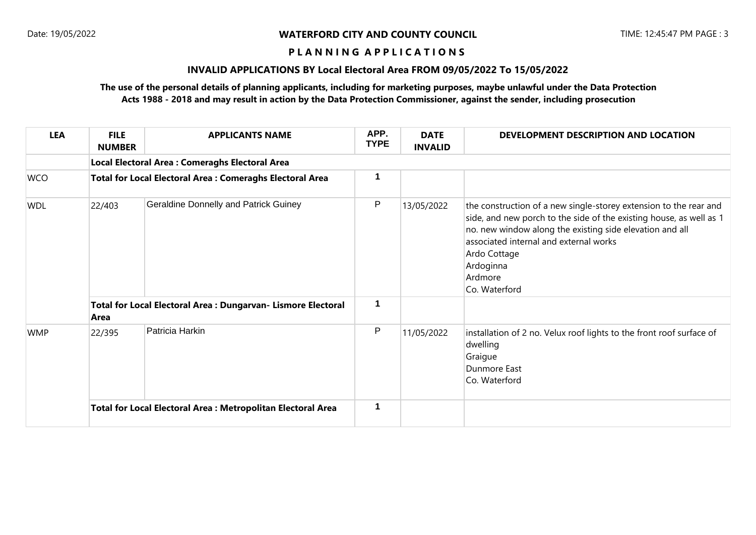#### **P L A N N I N G A P P L I C A T I O N S**

## **INVALID APPLICATIONS BY Local Electoral Area FROM 09/05/2022 To 15/05/2022**

# **The use of the personal details of planning applicants, including for marketing purposes, maybe unlawful under the Data Protection Acts 1988 - 2018 and may result in action by the Data Protection Commissioner, against the sender, including prosecution**

| <b>LEA</b> | <b>FILE</b><br><b>NUMBER</b>                                          | <b>APPLICANTS NAME</b>                       | APP.<br><b>TYPE</b> | <b>DATE</b><br><b>INVALID</b> | DEVELOPMENT DESCRIPTION AND LOCATION                                                                                                                                                                                                                                                                    |  |  |  |  |  |
|------------|-----------------------------------------------------------------------|----------------------------------------------|---------------------|-------------------------------|---------------------------------------------------------------------------------------------------------------------------------------------------------------------------------------------------------------------------------------------------------------------------------------------------------|--|--|--|--|--|
|            | Local Electoral Area : Comeraghs Electoral Area                       |                                              |                     |                               |                                                                                                                                                                                                                                                                                                         |  |  |  |  |  |
| <b>WCO</b> | <b>Total for Local Electoral Area: Comeraghs Electoral Area</b>       |                                              |                     |                               |                                                                                                                                                                                                                                                                                                         |  |  |  |  |  |
| <b>WDL</b> | 22/403                                                                | <b>Geraldine Donnelly and Patrick Guiney</b> | P<br>1              | 13/05/2022                    | the construction of a new single-storey extension to the rear and<br>side, and new porch to the side of the existing house, as well as 1<br>no. new window along the existing side elevation and all<br>associated internal and external works<br>Ardo Cottage<br>Ardoginna<br>Ardmore<br>Co. Waterford |  |  |  |  |  |
|            | Total for Local Electoral Area : Dungarvan- Lismore Electoral<br>Area |                                              |                     |                               |                                                                                                                                                                                                                                                                                                         |  |  |  |  |  |
| <b>WMP</b> | 22/395                                                                | Patricia Harkin                              | P                   | 11/05/2022                    | installation of 2 no. Velux roof lights to the front roof surface of<br>dwelling<br>Graigue<br>Dunmore East<br>Co. Waterford                                                                                                                                                                            |  |  |  |  |  |
|            | <b>Total for Local Electoral Area: Metropolitan Electoral Area</b>    |                                              | 1                   |                               |                                                                                                                                                                                                                                                                                                         |  |  |  |  |  |